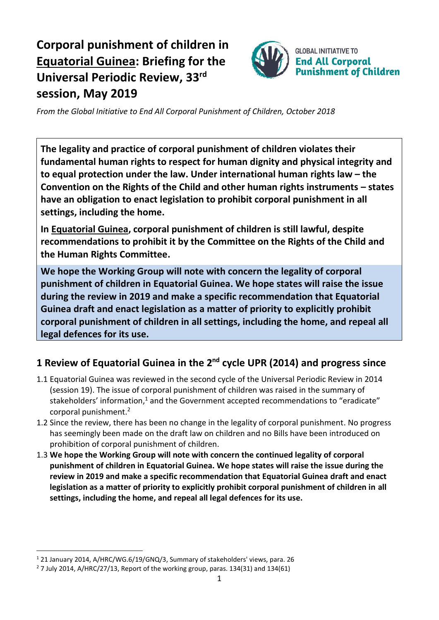# **Corporal punishment of children in Equatorial Guinea: Briefing for the Universal Periodic Review, 33 rd session, May 2019**



*From the Global Initiative to End All Corporal Punishment of Children, October 2018*

**The legality and practice of corporal punishment of children violates their fundamental human rights to respect for human dignity and physical integrity and to equal protection under the law. Under international human rights law – the Convention on the Rights of the Child and other human rights instruments – states have an obligation to enact legislation to prohibit corporal punishment in all settings, including the home.**

**In Equatorial Guinea, corporal punishment of children is still lawful, despite recommendations to prohibit it by the Committee on the Rights of the Child and the Human Rights Committee.**

**We hope the Working Group will note with concern the legality of corporal punishment of children in Equatorial Guinea. We hope states will raise the issue during the review in 2019 and make a specific recommendation that Equatorial Guinea draft and enact legislation as a matter of priority to explicitly prohibit corporal punishment of children in all settings, including the home, and repeal all legal defences for its use.**

## **1 Review of Equatorial Guinea in the 2nd cycle UPR (2014) and progress since**

- 1.1 Equatorial Guinea was reviewed in the second cycle of the Universal Periodic Review in 2014 (session 19). The issue of corporal punishment of children was raised in the summary of stakeholders' information,<sup>1</sup> and the Government accepted recommendations to "eradicate" corporal punishment.<sup>2</sup>
- 1.2 Since the review, there has been no change in the legality of corporal punishment. No progress has seemingly been made on the draft law on children and no Bills have been introduced on prohibition of corporal punishment of children.
- 1.3 **We hope the Working Group will note with concern the continued legality of corporal punishment of children in Equatorial Guinea. We hope states will raise the issue during the review in 2019 and make a specific recommendation that Equatorial Guinea draft and enact legislation as a matter of priority to explicitly prohibit corporal punishment of children in all settings, including the home, and repeal all legal defences for its use.**

 $\overline{a}$ 

<sup>1</sup> 21 January 2014, A/HRC/WG.6/19/GNQ/3, Summary of stakeholders' views, para. 26

 $2$  7 July 2014, A/HRC/27/13, Report of the working group, paras. 134(31) and 134(61)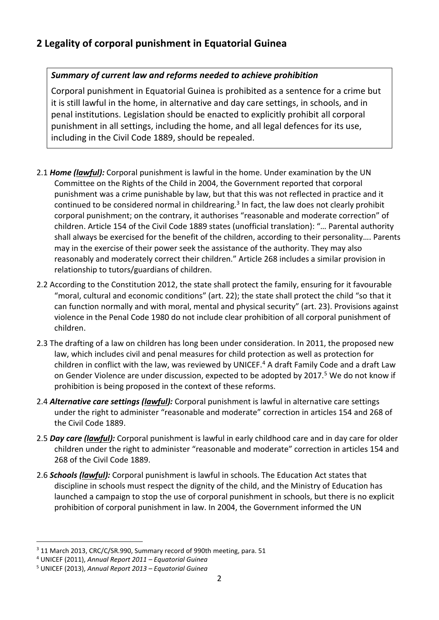### **2 Legality of corporal punishment in Equatorial Guinea**

#### *Summary of current law and reforms needed to achieve prohibition*

Corporal punishment in Equatorial Guinea is prohibited as a sentence for a crime but it is still lawful in the home, in alternative and day care settings, in schools, and in penal institutions. Legislation should be enacted to explicitly prohibit all corporal punishment in all settings, including the home, and all legal defences for its use, including in the Civil Code 1889, should be repealed.

- 2.1 *Home (lawful):* Corporal punishment is lawful in the home. Under examination by the UN Committee on the Rights of the Child in 2004, the Government reported that corporal punishment was a crime punishable by law, but that this was not reflected in practice and it continued to be considered normal in childrearing.<sup>3</sup> In fact, the law does not clearly prohibit corporal punishment; on the contrary, it authorises "reasonable and moderate correction" of children. Article 154 of the Civil Code 1889 states (unofficial translation): "… Parental authority shall always be exercised for the benefit of the children, according to their personality…. Parents may in the exercise of their power seek the assistance of the authority. They may also reasonably and moderately correct their children." Article 268 includes a similar provision in relationship to tutors/guardians of children.
- 2.2 According to the Constitution 2012, the state shall protect the family, ensuring for it favourable "moral, cultural and economic conditions" (art. 22); the state shall protect the child "so that it can function normally and with moral, mental and physical security" (art. 23). Provisions against violence in the Penal Code 1980 do not include clear prohibition of all corporal punishment of children.
- 2.3 The drafting of a law on children has long been under consideration. In 2011, the proposed new law, which includes civil and penal measures for child protection as well as protection for children in conflict with the law, was reviewed by UNICEF.<sup>4</sup> A draft Family Code and a draft Law on Gender Violence are under discussion, expected to be adopted by 2017.<sup>5</sup> We do not know if prohibition is being proposed in the context of these reforms.
- 2.4 *Alternative care settings (lawful):* Corporal punishment is lawful in alternative care settings under the right to administer "reasonable and moderate" correction in articles 154 and 268 of the Civil Code 1889.
- 2.5 *Day care (lawful):* Corporal punishment is lawful in early childhood care and in day care for older children under the right to administer "reasonable and moderate" correction in articles 154 and 268 of the Civil Code 1889.
- 2.6 *Schools (lawful):* Corporal punishment is lawful in schools. The Education Act states that discipline in schools must respect the dignity of the child, and the Ministry of Education has launched a campaign to stop the use of corporal punishment in schools, but there is no explicit prohibition of corporal punishment in law. In 2004, the Government informed the UN

 $\overline{a}$ 

<sup>&</sup>lt;sup>3</sup> 11 March 2013, CRC/C/SR.990, Summary record of 990th meeting, para. 51

<sup>4</sup> UNICEF (2011), *Annual Report 2011 – Equatorial Guinea*

<sup>5</sup> UNICEF (2013), *Annual Report 2013 – Equatorial Guinea*